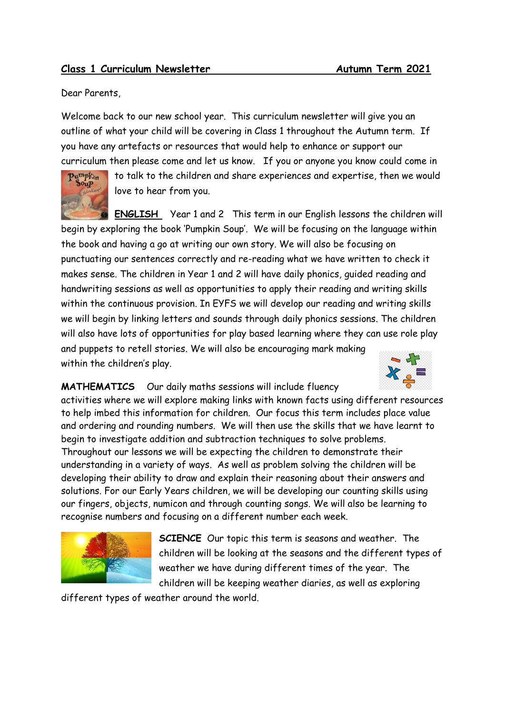## **Class 1 Curriculum Newsletter Autumn Term 2021**

Dear Parents,

Welcome back to our new school year. This curriculum newsletter will give you an outline of what your child will be covering in Class 1 throughout the Autumn term. If you have any artefacts or resources that would help to enhance or support our curriculum then please come and let us know. If you or anyone you know could come in



to talk to the children and share experiences and expertise, then we would love to hear from you.

**ENGLISH** Year 1 and 2This term in our English lessons the children will begin by exploring the book 'Pumpkin Soup'. We will be focusing on the language within the book and having a go at writing our own story. We will also be focusing on punctuating our sentences correctly and re-reading what we have written to check it makes sense. The children in Year 1 and 2 will have daily phonics, guided reading and handwriting sessions as well as opportunities to apply their reading and writing skills within the continuous provision. In EYFS we will develop our reading and writing skills we will begin by linking letters and sounds through daily phonics sessions. The children will also have lots of opportunities for play based learning where they can use role play and puppets to retell stories. We will also be encouraging mark making within the children's play.



## **MATHEMATICS** Our daily maths sessions will include fluency

activities where we will explore making links with known facts using different resources to help imbed this information for children. Our focus this term includes place value and ordering and rounding numbers. We will then use the skills that we have learnt to begin to investigate addition and subtraction techniques to solve problems. Throughout our lessons we will be expecting the children to demonstrate their understanding in a variety of ways. As well as problem solving the children will be developing their ability to draw and explain their reasoning about their answers and solutions. For our Early Years children, we will be developing our counting skills using our fingers, objects, numicon and through counting songs. We will also be learning to recognise numbers and focusing on a different number each week.



**SCIENCE** Our topic this term is seasons and weather. The children will be looking at the seasons and the different types of weather we have during different times of the year. The children will be keeping weather diaries, as well as exploring

different types of weather around the world.